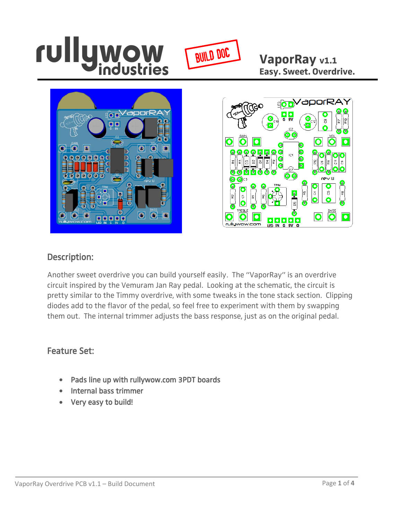

**VaporRay v1.1 Easy. Sweet. Overdrive.**





## Description:

Another sweet overdrive you can build yourself easily. The "VaporRay" is an overdrive circuit inspired by the Vemuram Jan Ray pedal. Looking at the schematic, the circuit is pretty similar to the Timmy overdrive, with some tweaks in the tone stack section. Clipping diodes add to the flavor of the pedal, so feel free to experiment with them by swapping them out. The internal trimmer adjusts the bass response, just as on the original pedal.

#### Feature Set:

- Pads line up with rullywow.com 3PDT boards
- Internal bass trimmer
- Very easy to build!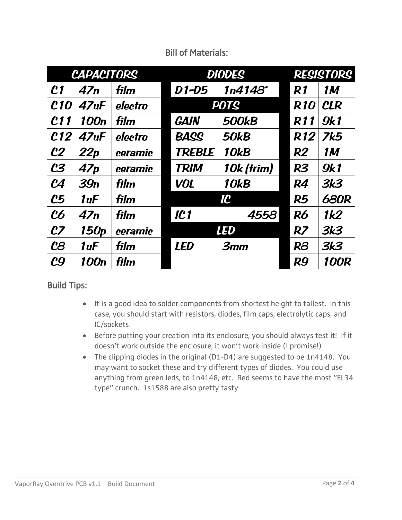| <b>CAPACITORS</b> |                   |         | <b>DIODES</b> |              | <b>RESISTORS</b> |             |
|-------------------|-------------------|---------|---------------|--------------|------------------|-------------|
| c <sub>1</sub>    | 47n               | film    | D1-D5         | 1n4148'      | R1               | <b>1M</b>   |
| <b>C10</b>        | 47 <sub>u</sub> F | electro | <b>POTS</b>   |              | <b>R10</b>       | <b>CLR</b>  |
| <b>C11</b>        | 100 <sub>n</sub>  | film    | <b>GAIN</b>   | <b>500kB</b> | <b>R11</b>       | <b>9k1</b>  |
| C12               | 47 <sub>u</sub> F | electro | <b>BASS</b>   | <b>50kB</b>  | R <sub>12</sub>  | <b>7k5</b>  |
| c <sub>2</sub>    | 22p               | ceramic | <b>TREBLE</b> | <b>10kB</b>  | R2               | <b>1M</b>   |
| c <sub>3</sub>    | 47p               | ceramic | <b>TRIM</b>   | 10k (trim)   | <b>R3</b>        | <b>9k1</b>  |
| $\mathcal{C}4$    | 39n               | film    | <b>VOL</b>    | <b>10kB</b>  | <b>R4</b>        | <b>3k3</b>  |
| $c_{5}$           | 1uF               | film    |               | IC           | <b>R5</b>        | <b>680R</b> |
| <b>C6</b>         | 47n               | film    | <b>IC1</b>    | 4558         | <b>R6</b>        | 1k2         |
| c <sub>z</sub>    | 150 <sub>p</sub>  | ceramic |               | <b>LED</b>   | R <sub>7</sub>   | 3k3         |
| $c_{\mathcal{B}}$ | 1uF               | film    | <b>LED</b>    | 3mm          | R <sub>8</sub>   | <b>3k3</b>  |
| c <sub>9</sub>    | 100n              | film    |               |              | <b>R9</b>        | <b>100R</b> |

## Bill of Materials:

## Build Tips:

- It is a good idea to solder components from shortest height to tallest. In this case, you should start with resistors, diodes, film caps, electrolytic caps, and IC/sockets.
- Before putting your creation into its enclosure, you should always test it! If it doesn't work outside the enclosure, it won't work inside (I promise!)
- The clipping diodes in the original (D1-D4) are suggested to be 1n4148. You may want to socket these and try different types of diodes. You could use anything from green leds, to 1n4148, etc. Red seems to have the most "EL34 type" crunch. 1s1588 are also pretty tasty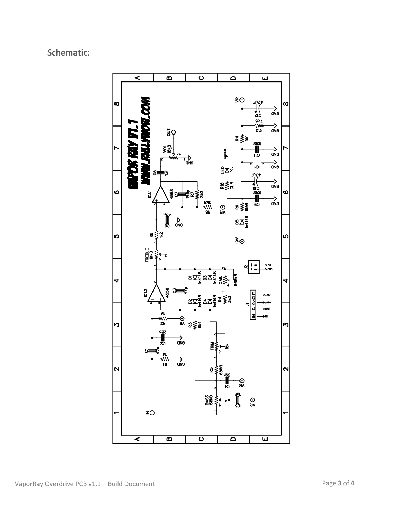# Schematic: